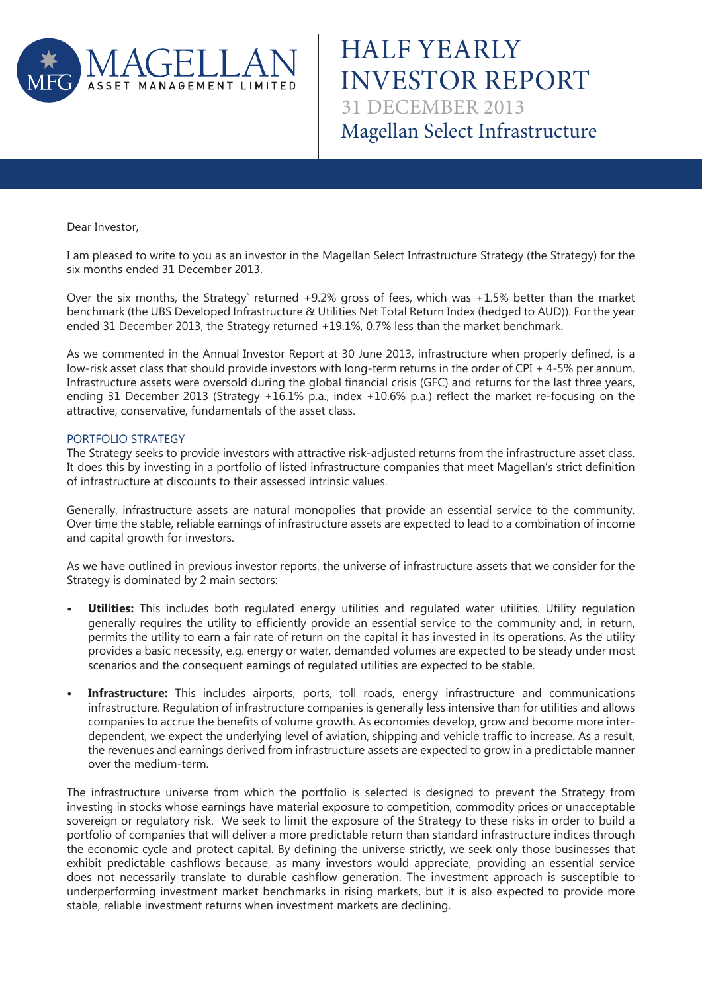

HALF YEARLY INVESTOR REPORT Magellan Select Infrastructure 31 DECEMBER 2013

Dear Investor,

I am pleased to write to you as an investor in the Magellan Select Infrastructure Strategy (the Strategy) for the six months ended 31 December 2013.

Over the six months, the Strategy\* returned +9.2% gross of fees, which was +1.5% better than the market benchmark (the UBS Developed Infrastructure & Utilities Net Total Return Index (hedged to AUD)). For the year ended 31 December 2013, the Strategy returned +19.1%, 0.7% less than the market benchmark.

As we commented in the Annual Investor Report at 30 June 2013, infrastructure when properly defined, is a low-risk asset class that should provide investors with long-term returns in the order of CPI + 4-5% per annum. Infrastructure assets were oversold during the global financial crisis (GFC) and returns for the last three years, ending 31 December 2013 (Strategy +16.1% p.a., index +10.6% p.a.) reflect the market re-focusing on the attractive, conservative, fundamentals of the asset class.

## PORTFOLIO STRATEGY

The Strategy seeks to provide investors with attractive risk-adjusted returns from the infrastructure asset class. It does this by investing in a portfolio of listed infrastructure companies that meet Magellan's strict definition of infrastructure at discounts to their assessed intrinsic values.

Generally, infrastructure assets are natural monopolies that provide an essential service to the community. Over time the stable, reliable earnings of infrastructure assets are expected to lead to a combination of income and capital growth for investors.

As we have outlined in previous investor reports, the universe of infrastructure assets that we consider for the Strategy is dominated by 2 main sectors:

- **Utilities:** This includes both regulated energy utilities and regulated water utilities. Utility regulation generally requires the utility to efficiently provide an essential service to the community and, in return, permits the utility to earn a fair rate of return on the capital it has invested in its operations. As the utility provides a basic necessity, e.g. energy or water, demanded volumes are expected to be steady under most scenarios and the consequent earnings of regulated utilities are expected to be stable.
- **Infrastructure:** This includes airports, ports, toll roads, energy infrastructure and communications infrastructure. Regulation of infrastructure companies is generally less intensive than for utilities and allows companies to accrue the benefits of volume growth. As economies develop, grow and become more interdependent, we expect the underlying level of aviation, shipping and vehicle traffic to increase. As a result, the revenues and earnings derived from infrastructure assets are expected to grow in a predictable manner over the medium-term.

The infrastructure universe from which the portfolio is selected is designed to prevent the Strategy from investing in stocks whose earnings have material exposure to competition, commodity prices or unacceptable sovereign or regulatory risk. We seek to limit the exposure of the Strategy to these risks in order to build a portfolio of companies that will deliver a more predictable return than standard infrastructure indices through the economic cycle and protect capital. By defining the universe strictly, we seek only those businesses that exhibit predictable cashflows because, as many investors would appreciate, providing an essential service does not necessarily translate to durable cashflow generation. The investment approach is susceptible to underperforming investment market benchmarks in rising markets, but it is also expected to provide more stable, reliable investment returns when investment markets are declining.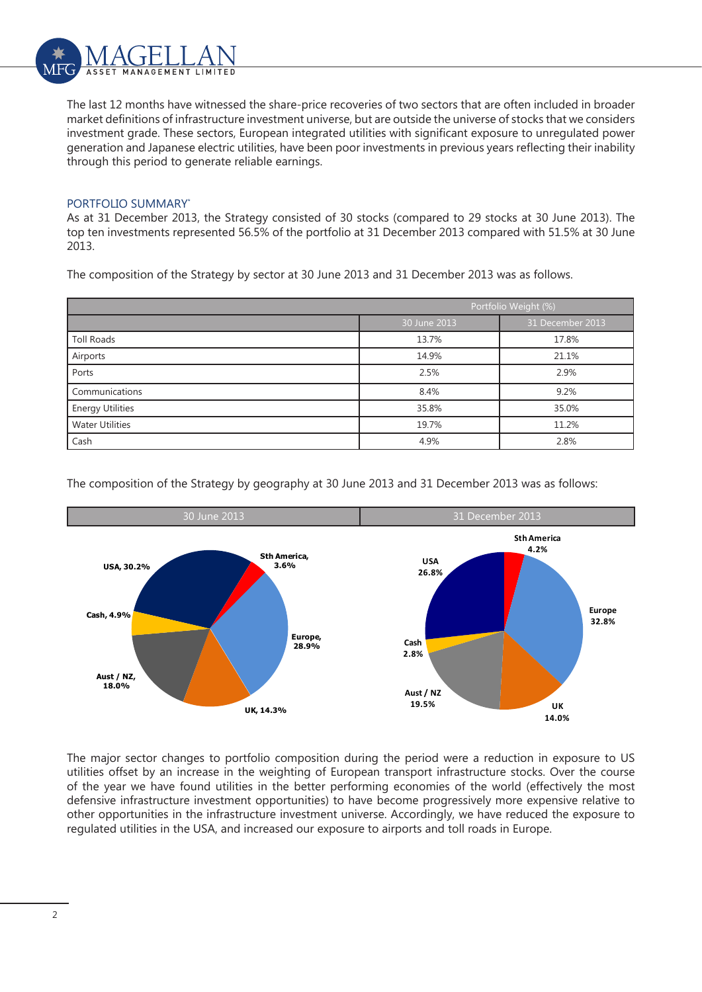

The last 12 months have witnessed the share-price recoveries of two sectors that are often included in broader market definitions of infrastructure investment universe, but are outside the universe of stocks that we considers investment grade. These sectors, European integrated utilities with significant exposure to unregulated power generation and Japanese electric utilities, have been poor investments in previous years reflecting their inability through this period to generate reliable earnings.

# PORTFOLIO SUMMARY\*

As at 31 December 2013, the Strategy consisted of 30 stocks (compared to 29 stocks at 30 June 2013). The top ten investments represented 56.5% of the portfolio at 31 December 2013 compared with 51.5% at 30 June 2013.

The composition of the Strategy by sector at 30 June 2013 and 31 December 2013 was as follows.

|                         | Portfolio Weight (%) |                  |  |
|-------------------------|----------------------|------------------|--|
|                         | 30 June 2013         | 31 December 2013 |  |
| Toll Roads              | 13.7%                | 17.8%            |  |
| Airports                | 14.9%                | 21.1%            |  |
| Ports                   | 2.5%                 | 2.9%             |  |
| Communications          | 8.4%                 | 9.2%             |  |
| <b>Energy Utilities</b> | 35.8%                | 35.0%            |  |
| <b>Water Utilities</b>  | 19.7%                | 11.2%            |  |
| Cash                    | 4.9%                 | 2.8%             |  |

The composition of the Strategy by geography at 30 June 2013 and 31 December 2013 was as follows:



The major sector changes to portfolio composition during the period were a reduction in exposure to US utilities offset by an increase in the weighting of European transport infrastructure stocks. Over the course of the year we have found utilities in the better performing economies of the world (effectively the most defensive infrastructure investment opportunities) to have become progressively more expensive relative to other opportunities in the infrastructure investment universe. Accordingly, we have reduced the exposure to regulated utilities in the USA, and increased our exposure to airports and toll roads in Europe.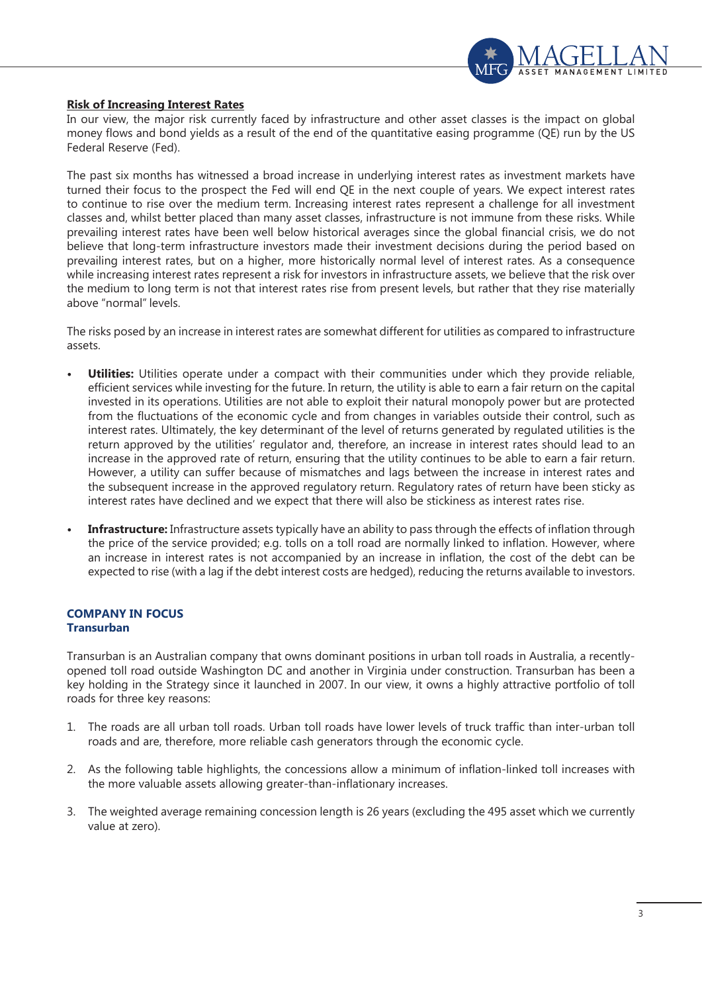

## **Risk of Increasing Interest Rates**

In our view, the major risk currently faced by infrastructure and other asset classes is the impact on global money flows and bond yields as a result of the end of the quantitative easing programme (QE) run by the US Federal Reserve (Fed).

The past six months has witnessed a broad increase in underlying interest rates as investment markets have turned their focus to the prospect the Fed will end QE in the next couple of years. We expect interest rates to continue to rise over the medium term. Increasing interest rates represent a challenge for all investment classes and, whilst better placed than many asset classes, infrastructure is not immune from these risks. While prevailing interest rates have been well below historical averages since the global financial crisis, we do not believe that long-term infrastructure investors made their investment decisions during the period based on prevailing interest rates, but on a higher, more historically normal level of interest rates. As a consequence while increasing interest rates represent a risk for investors in infrastructure assets, we believe that the risk over the medium to long term is not that interest rates rise from present levels, but rather that they rise materially above "normal" levels.

The risks posed by an increase in interest rates are somewhat different for utilities as compared to infrastructure assets.

- **Utilities:** Utilities operate under a compact with their communities under which they provide reliable, efficient services while investing for the future. In return, the utility is able to earn a fair return on the capital invested in its operations. Utilities are not able to exploit their natural monopoly power but are protected from the fluctuations of the economic cycle and from changes in variables outside their control, such as interest rates. Ultimately, the key determinant of the level of returns generated by regulated utilities is the return approved by the utilities' regulator and, therefore, an increase in interest rates should lead to an increase in the approved rate of return, ensuring that the utility continues to be able to earn a fair return. However, a utility can suffer because of mismatches and lags between the increase in interest rates and the subsequent increase in the approved regulatory return. Regulatory rates of return have been sticky as interest rates have declined and we expect that there will also be stickiness as interest rates rise.
- **Infrastructure:** Infrastructure assets typically have an ability to pass through the effects of inflation through the price of the service provided; e.g. tolls on a toll road are normally linked to inflation. However, where an increase in interest rates is not accompanied by an increase in inflation, the cost of the debt can be expected to rise (with a lag if the debt interest costs are hedged), reducing the returns available to investors.

# **COMPANY IN FOCUS Transurban**

Transurban is an Australian company that owns dominant positions in urban toll roads in Australia, a recentlyopened toll road outside Washington DC and another in Virginia under construction. Transurban has been a key holding in the Strategy since it launched in 2007. In our view, it owns a highly attractive portfolio of toll roads for three key reasons:

- 1. The roads are all urban toll roads. Urban toll roads have lower levels of truck traffic than inter-urban toll roads and are, therefore, more reliable cash generators through the economic cycle.
- 2. As the following table highlights, the concessions allow a minimum of inflation-linked toll increases with the more valuable assets allowing greater-than-inflationary increases.
- 3. The weighted average remaining concession length is 26 years (excluding the 495 asset which we currently value at zero).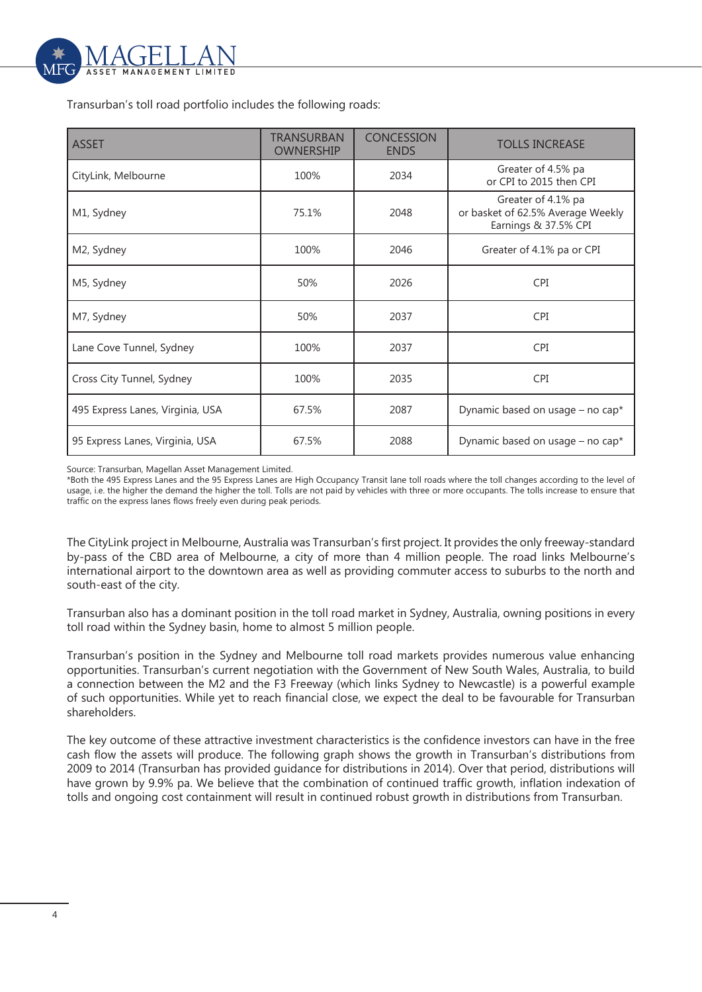

Transurban's toll road portfolio includes the following roads:

| <b>ASSET</b>                     | TRANSURBAN<br><b>OWNERSHIP</b> | <b>CONCESSION</b><br><b>ENDS</b> | <b>TOLLS INCREASE</b>                                                           |
|----------------------------------|--------------------------------|----------------------------------|---------------------------------------------------------------------------------|
| CityLink, Melbourne              | 100%                           | 2034                             | Greater of 4.5% pa<br>or CPI to 2015 then CPI                                   |
| M1, Sydney                       | 75.1%                          | 2048                             | Greater of 4.1% pa<br>or basket of 62.5% Average Weekly<br>Earnings & 37.5% CPI |
| M2, Sydney                       | 100%                           | 2046                             | Greater of 4.1% pa or CPI                                                       |
| M5, Sydney                       | 50%                            | 2026                             | <b>CPI</b>                                                                      |
| M7, Sydney                       | 50%                            | 2037                             | <b>CPI</b>                                                                      |
| Lane Cove Tunnel, Sydney         | 100%                           | 2037                             | <b>CPI</b>                                                                      |
| Cross City Tunnel, Sydney        | 100%                           | 2035                             | <b>CPI</b>                                                                      |
| 495 Express Lanes, Virginia, USA | 67.5%                          | 2087                             | Dynamic based on usage - no cap*                                                |
| 95 Express Lanes, Virginia, USA  | 67.5%                          | 2088                             | Dynamic based on usage - no cap*                                                |

Source: Transurban, Magellan Asset Management Limited.

\*Both the 495 Express Lanes and the 95 Express Lanes are High Occupancy Transit lane toll roads where the toll changes according to the level of usage, i.e. the higher the demand the higher the toll. Tolls are not paid by vehicles with three or more occupants. The tolls increase to ensure that traffic on the express lanes flows freely even during peak periods.

The CityLink project in Melbourne, Australia was Transurban's first project. It provides the only freeway-standard by-pass of the CBD area of Melbourne, a city of more than 4 million people. The road links Melbourne's international airport to the downtown area as well as providing commuter access to suburbs to the north and south-east of the city.

Transurban also has a dominant position in the toll road market in Sydney, Australia, owning positions in every toll road within the Sydney basin, home to almost 5 million people.

Transurban's position in the Sydney and Melbourne toll road markets provides numerous value enhancing opportunities. Transurban's current negotiation with the Government of New South Wales, Australia, to build a connection between the M2 and the F3 Freeway (which links Sydney to Newcastle) is a powerful example of such opportunities. While yet to reach financial close, we expect the deal to be favourable for Transurban shareholders.

The key outcome of these attractive investment characteristics is the confidence investors can have in the free cash flow the assets will produce. The following graph shows the growth in Transurban's distributions from 2009 to 2014 (Transurban has provided guidance for distributions in 2014). Over that period, distributions will have grown by 9.9% pa. We believe that the combination of continued traffic growth, inflation indexation of tolls and ongoing cost containment will result in continued robust growth in distributions from Transurban.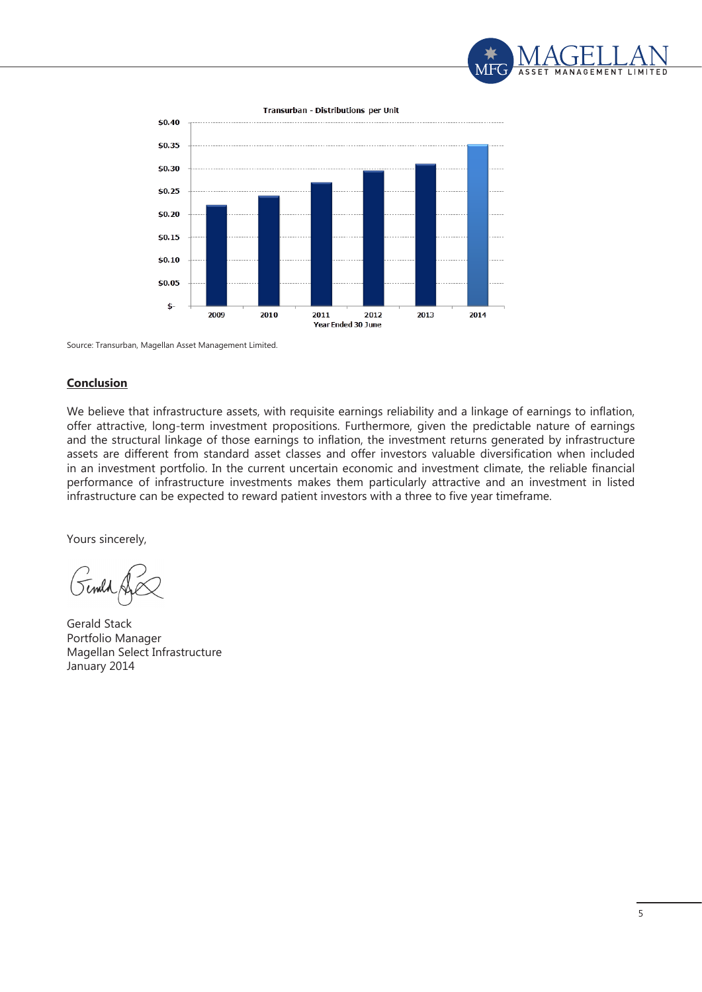



Source: Transurban, Magellan Asset Management Limited.

#### **Conclusion**

We believe that infrastructure assets, with requisite earnings reliability and a linkage of earnings to inflation, offer attractive, long-term investment propositions. Furthermore, given the predictable nature of earnings and the structural linkage of those earnings to inflation, the investment returns generated by infrastructure assets are different from standard asset classes and offer investors valuable diversification when included in an investment portfolio. In the current uncertain economic and investment climate, the reliable financial performance of infrastructure investments makes them particularly attractive and an investment in listed infrastructure can be expected to reward patient investors with a three to five year timeframe.

Yours sincerely,

Gerald Stack Portfolio Manager Magellan Select Infrastructure January 2014